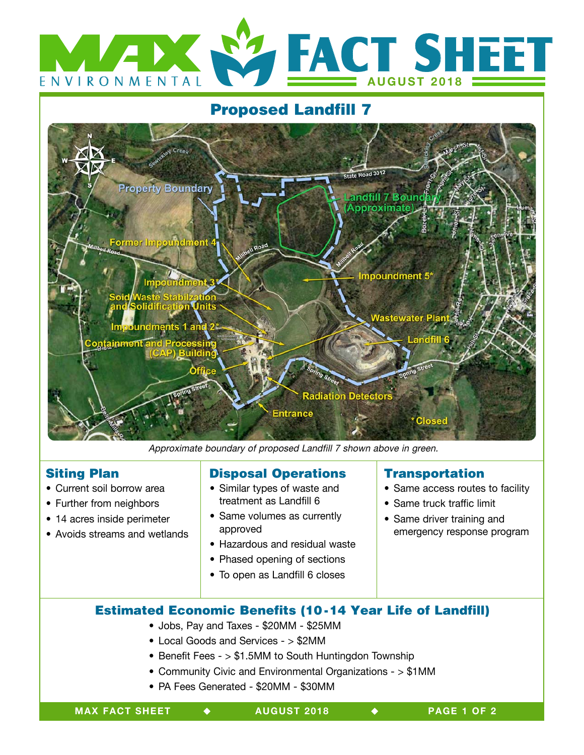

# Proposed Landfill 7



Approximate boundary of proposed Landfill 7 shown above in green.

#### Siting Plan

- Current soil borrow area
- Further from neighbors
- 14 acres inside perimeter
- Avoids streams and wetlands

## Disposal Operations

- Similar types of waste and treatment as Landfill 6
- Same volumes as currently approved
- Hazardous and residual waste
- Phased opening of sections
- To open as Landfill 6 closes

## Transportation

- Same access routes to facility
- Same truck traffic limit
- Same driver training and emergency response program

# Estimated Economic Benefits (10-14 Year Life of Landfill)

- Jobs, Pay and Taxes \$20MM \$25MM
	- Local Goods and Services > \$2MM
	- Benefit Fees > \$1.5MM to South Huntingdon Township
	- Community Civic and Environmental Organizations > \$1MM
	- PA Fees Generated \$20MM \$30MM

 $\ddot{\bullet}$ 

**PAGE 1 OF 2**